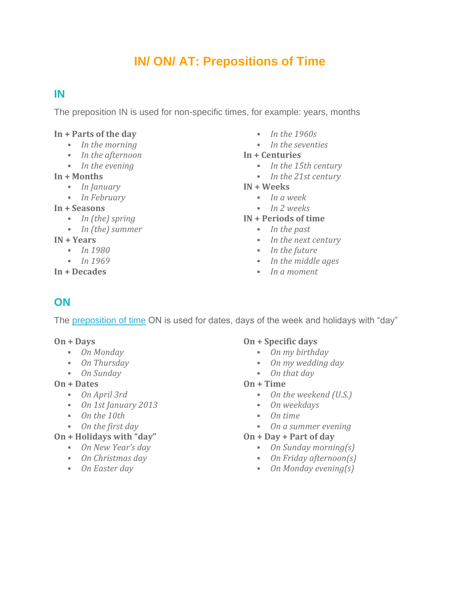# **IN/ ON/ AT: Prepositions of Time**

# **IN**

The preposition IN is used for non-specific times, for example: years, months

#### **In + Parts of the day**

- *In the morning*
- *In the afternoon*
- *In the evening*

#### **In + Months**

- *In January*
- *In February*

#### **In + Seasons**

- *In (the) spring*
- *In (the) summer*

### **IN + Years**

- *In 1980*
- *In 1969*

### **In + Decades**

- *In the 1960s*
- *In the seventies*

### **In + Centuries**

- *In the 15th century*
- *In the 21st century*

#### **IN + Weeks**

- *In a week*
- *In 2 weeks*

### **IN + Periods of time**

- *In the past*
- *In the next century*
- *In the future*
- *In the middle ages*
- *In a moment*

# **ON**

The [preposition](https://7esl.com/prepositions-of-time/) of time ON is used for dates, days of the week and holidays with "day"

### **On + Days**

- *On Monday*
- *On Thursday*
- *On Sunday*

### **On + Dates**

- *On April 3rd*
- *On 1st January 2013*
- *On the 10th*
- *On the first day*

### **On + Holidays with "day"**

- *On New Year's day*
- *On Christmas day*
- *On Easter day*

### **On + Specific days**

- *On my birthday*
- *On my wedding day*
- *On that day*

#### **On + Time**

- *On the weekend (U.S.)*
- *On weekdays*
- *On time*
- *On a summer evening*

### **On + Day + Part of day**

- *On Sunday morning(s)*
- *On Friday afternoon(s)*
- *On Monday evening(s)*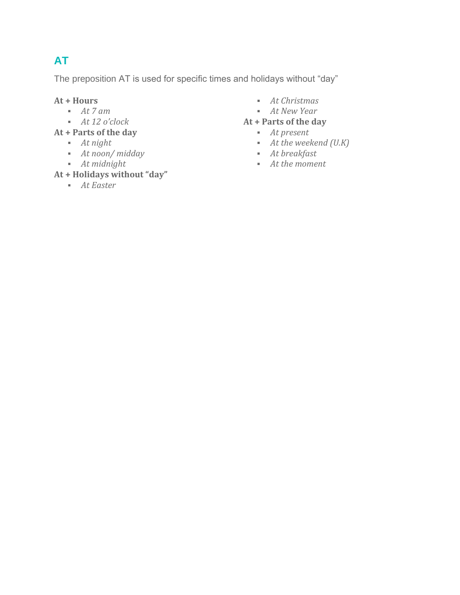# **AT**

The preposition AT is used for specific times and holidays without "day"

## **At + Hours**

- *At 7 am*
- *At 12 o'clock*

**At + Parts of the day**

- *At night*
- *At noon/ midday*
- *At midnight*

# **At + Holidays without "day"**

▪ *At Easter*

- *At Christmas*
- *At New Year*

## **At + Parts of the day**

- *At present*
- *At the weekend (U.K)*
- *At breakfast*
- *At the moment*